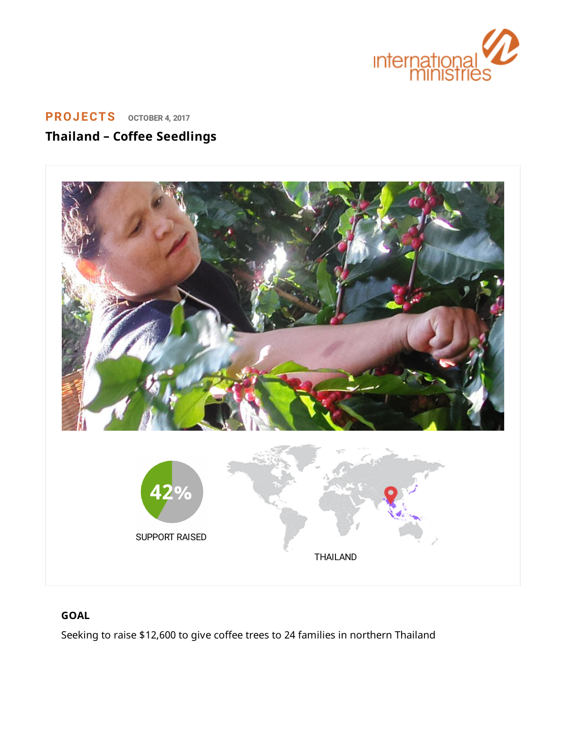

# **[PROJECTS](https://www.internationalministries.org/category/projects/) OCTOBER 4, <sup>2017</sup> Thailand – Coffee Seedlings**



## **GOAL**

Seeking to raise \$12,600 to give coffee trees to 24 families in northern Thailand